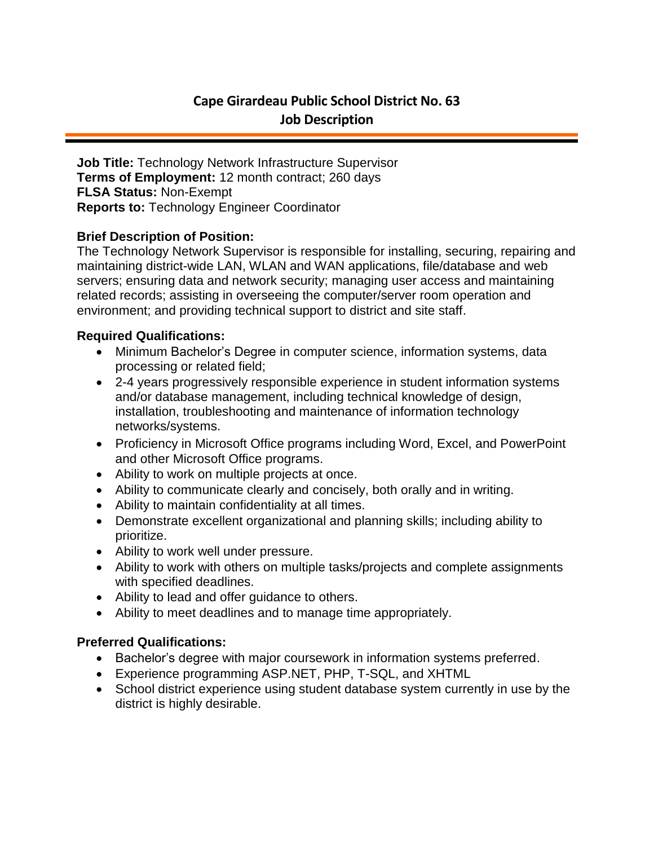# **Cape Girardeau Public School District No. 63 Job Description**

**Job Title:** Technology Network Infrastructure Supervisor **Terms of Employment:** 12 month contract; 260 days **FLSA Status:** Non-Exempt **Reports to:** Technology Engineer Coordinator

### **Brief Description of Position:**

The Technology Network Supervisor is responsible for installing, securing, repairing and maintaining district-wide LAN, WLAN and WAN applications, file/database and web servers; ensuring data and network security; managing user access and maintaining related records; assisting in overseeing the computer/server room operation and environment; and providing technical support to district and site staff.

#### **Required Qualifications:**

- Minimum Bachelor's Degree in computer science, information systems, data processing or related field;
- 2-4 years progressively responsible experience in student information systems and/or database management, including technical knowledge of design, installation, troubleshooting and maintenance of information technology networks/systems.
- Proficiency in Microsoft Office programs including Word, Excel, and PowerPoint and other Microsoft Office programs.
- Ability to work on multiple projects at once.
- Ability to communicate clearly and concisely, both orally and in writing.
- Ability to maintain confidentiality at all times.
- Demonstrate excellent organizational and planning skills; including ability to prioritize.
- Ability to work well under pressure.
- Ability to work with others on multiple tasks/projects and complete assignments with specified deadlines.
- Ability to lead and offer guidance to others.
- Ability to meet deadlines and to manage time appropriately.

## **Preferred Qualifications:**

- Bachelor's degree with major coursework in information systems preferred.
- Experience programming ASP.NET, PHP, T-SQL, and XHTML
- School district experience using student database system currently in use by the district is highly desirable.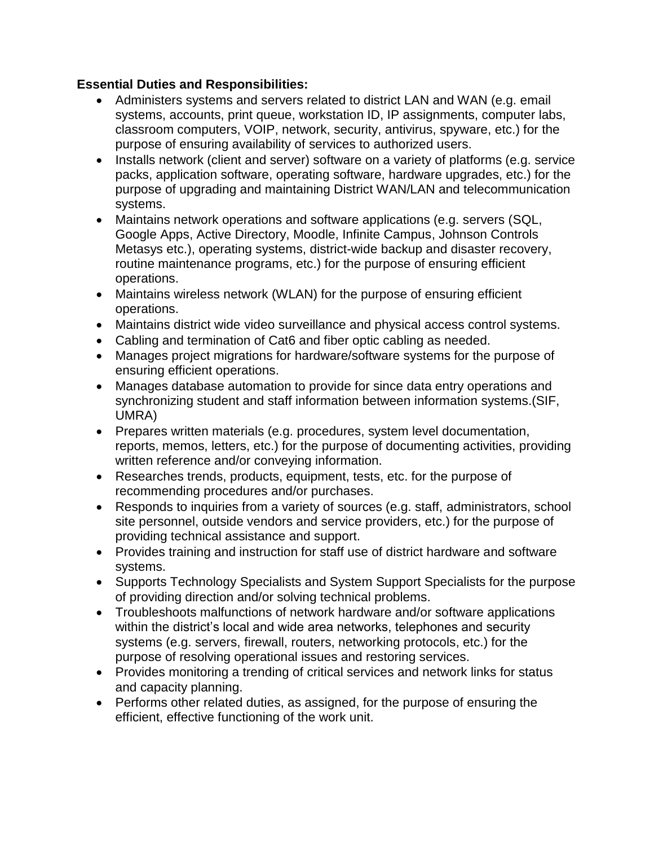## **Essential Duties and Responsibilities:**

- Administers systems and servers related to district LAN and WAN (e.g. email systems, accounts, print queue, workstation ID, IP assignments, computer labs, classroom computers, VOIP, network, security, antivirus, spyware, etc.) for the purpose of ensuring availability of services to authorized users.
- Installs network (client and server) software on a variety of platforms (e.g. service packs, application software, operating software, hardware upgrades, etc.) for the purpose of upgrading and maintaining District WAN/LAN and telecommunication systems.
- Maintains network operations and software applications (e.g. servers (SQL, Google Apps, Active Directory, Moodle, Infinite Campus, Johnson Controls Metasys etc.), operating systems, district-wide backup and disaster recovery, routine maintenance programs, etc.) for the purpose of ensuring efficient operations.
- Maintains wireless network (WLAN) for the purpose of ensuring efficient operations.
- Maintains district wide video surveillance and physical access control systems.
- Cabling and termination of Cat6 and fiber optic cabling as needed.
- Manages project migrations for hardware/software systems for the purpose of ensuring efficient operations.
- Manages database automation to provide for since data entry operations and synchronizing student and staff information between information systems.(SIF, UMRA)
- Prepares written materials (e.g. procedures, system level documentation, reports, memos, letters, etc.) for the purpose of documenting activities, providing written reference and/or conveying information.
- Researches trends, products, equipment, tests, etc. for the purpose of recommending procedures and/or purchases.
- Responds to inquiries from a variety of sources (e.g. staff, administrators, school site personnel, outside vendors and service providers, etc.) for the purpose of providing technical assistance and support.
- Provides training and instruction for staff use of district hardware and software systems.
- Supports Technology Specialists and System Support Specialists for the purpose of providing direction and/or solving technical problems.
- Troubleshoots malfunctions of network hardware and/or software applications within the district's local and wide area networks, telephones and security systems (e.g. servers, firewall, routers, networking protocols, etc.) for the purpose of resolving operational issues and restoring services.
- Provides monitoring a trending of critical services and network links for status and capacity planning.
- Performs other related duties, as assigned, for the purpose of ensuring the efficient, effective functioning of the work unit.